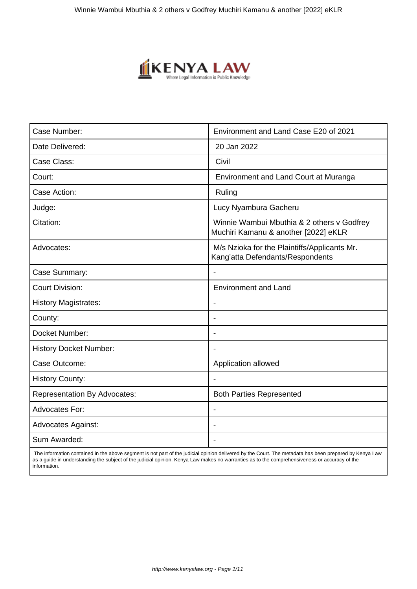

| Case Number:                        | Environment and Land Case E20 of 2021                                              |
|-------------------------------------|------------------------------------------------------------------------------------|
| Date Delivered:                     | 20 Jan 2022                                                                        |
| Case Class:                         | Civil                                                                              |
| Court:                              | Environment and Land Court at Muranga                                              |
| Case Action:                        | Ruling                                                                             |
| Judge:                              | Lucy Nyambura Gacheru                                                              |
| Citation:                           | Winnie Wambui Mbuthia & 2 others v Godfrey<br>Muchiri Kamanu & another [2022] eKLR |
| Advocates:                          | M/s Nzioka for the Plaintiffs/Applicants Mr.<br>Kang'atta Defendants/Respondents   |
| Case Summary:                       | $\blacksquare$                                                                     |
| <b>Court Division:</b>              | <b>Environment and Land</b>                                                        |
| <b>History Magistrates:</b>         |                                                                                    |
| County:                             |                                                                                    |
| Docket Number:                      | $\overline{\phantom{a}}$                                                           |
| <b>History Docket Number:</b>       |                                                                                    |
| Case Outcome:                       | Application allowed                                                                |
| <b>History County:</b>              |                                                                                    |
| <b>Representation By Advocates:</b> | <b>Both Parties Represented</b>                                                    |
| <b>Advocates For:</b>               | $\overline{\phantom{0}}$                                                           |
| <b>Advocates Against:</b>           |                                                                                    |
| Sum Awarded:                        | $\overline{\phantom{a}}$                                                           |

 The information contained in the above segment is not part of the judicial opinion delivered by the Court. The metadata has been prepared by Kenya Law as a guide in understanding the subject of the judicial opinion. Kenya Law makes no warranties as to the comprehensiveness or accuracy of the information.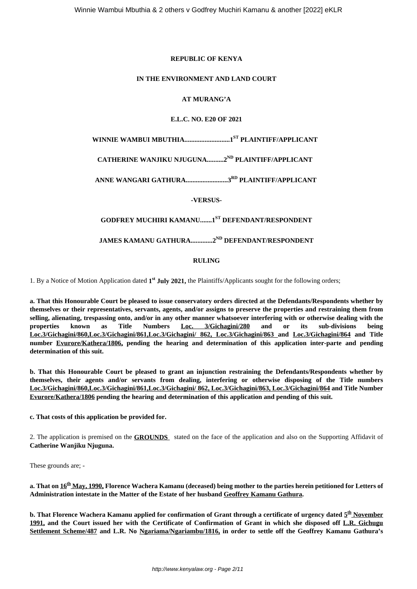#### **REPUBLIC OF KENYA**

#### **IN THE ENVIRONMENT AND LAND COURT**

## **AT MURANG'A**

## **E.L.C. NO. E20 OF 2021**

**WINNIE WAMBUI MBUTHIA...........................1ST PLAINTIFF/APPLICANT**

# **CATHERINE WANJIKU NJUGUNA..........2ND PLAINTIFF/APPLICANT**

**ANNE WANGARI GATHURA.........................3RD PLAINTIFF/APPLICANT**

**-VERSUS-**

# **GODFREY MUCHIRI KAMANU.......1ST DEFENDANT/RESPONDENT**

## **JAMES KAMANU GATHURA.............2ND DEFENDANT/RESPONDENT**

### **RULING**

1. By a Notice of Motion Application dated **1 st July 2021,** the Plaintiffs/Applicants sought for the following orders;

**a. That this Honourable Court be pleased to issue conservatory orders directed at the Defendants/Respondents whether by themselves or their representatives, servants, agents, and/or assigns to preserve the properties and restraining them from selling, alienating, trespassing onto, and/or in any other manner whatsoever interfering with or otherwise dealing with the properties known as Title Numbers Loc. 3/Gichagini/280 and or its sub-divisions being Loc.3/Gichagini/860,Loc.3/Gichagini/861,Loc.3/Gichagini/ 862, Loc.3/Gichagini/863 and Loc.3/Gichagini/864 and Title number Evurore/Kathera/1806, pending the hearing and determination of this application inter-parte and pending determination of this suit.**

**b. That this Honourable Court be pleased to grant an injunction restraining the Defendants/Respondents whether by themselves, their agents and/or servants from dealing, interfering or otherwise disposing of the Title numbers Loc.3/Gichagini/860,Loc.3/Gichagini/861,Loc.3/Gichagini/ 862, Loc.3/Gichagini/863, Loc.3/Gichagini/864 and Title Number Evurore/Kathera/1806 pending the hearing and determination of this application and pending of this suit.**

**c. That costs of this application be provided for.**

2. The application is premised on the **GROUNDS** stated on the face of the application and also on the Supporting Affidavit of **Catherine Wanjiku Njuguna.**

These grounds are; -

**a. That on 16th May, 1990, Florence Wachera Kamanu (deceased) being mother to the parties herein petitioned for Letters of Administration intestate in the Matter of the Estate of her husband Geoffrey Kamanu Gathura.**

**b. That Florence Wachera Kamanu applied for confirmation of Grant through a certificate of urgency dated 5 th November 1991, and the Court issued her with the Certificate of Confirmation of Grant in which she disposed off L.R. Gichugu Settlement Scheme/487 and L.R. No Ngariama/Ngariambu/1816, in order to settle off the Geoffrey Kamanu Gathura's**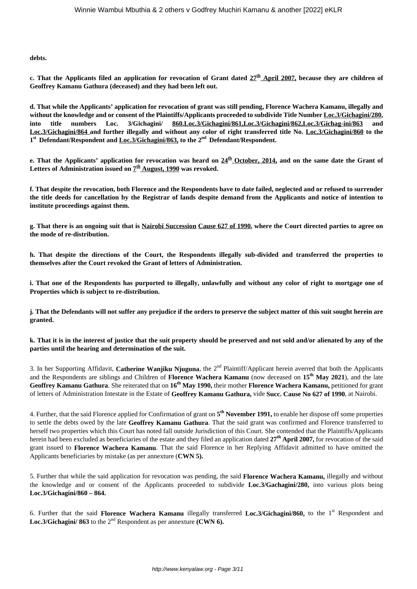**debts.**

**c. That the Applicants filed an application for revocation of Grant dated 27th April 2007, because they are children of Geoffrey Kamanu Gathura (deceased) and they had been left out.**

**d. That while the Applicants' application for revocation of grant was still pending, Florence Wachera Kamanu, illegally and without the knowledge and or consent of the Plaintiffs/Applicants proceeded to subdivide Title Number Loc.3/Gichagini/280, into title numbers Loc. 3/Gichagini/ 860,Loc.3/Gichagini/861,Loc.3/Gichagini/862,Loc.3/Gichag-ini/863 and Loc.3/Gichagini/864 and further illegally and without any color of right transferred title No. Loc.3/Gichagini/860 to the 1 st Defendant/Respondent and Loc.3/Gichagini/863, to the 2nd Defendant/Respondent.**

**e. That the Applicants' application for revocation was heard on 24th October, 2014, and on the same date the Grant of** Letters of Administration issued on  $\mathcal{I}^{\text{th}}$  <u>August, 1990</u> was revoked.

**f. That despite the revocation, both Florence and the Respondents have to date failed, neglected and or refused to surrender the title deeds for cancellation by the Registrar of lands despite demand from the Applicants and notice of intention to institute proceedings against them.**

**g. That there is an ongoing suit that is Nairobi Succession Cause 627 of 1990, where the Court directed parties to agree on the mode of re-distribution.**

**h. That despite the directions of the Court, the Respondents illegally sub-divided and transferred the properties to themselves after the Court revoked the Grant of letters of Administration.**

**i. That one of the Respondents has purported to illegally, unlawfully and without any color of right to mortgage one of Properties which is subject to re-distribution.**

**j. That the Defendants will not suffer any prejudice if the orders to preserve the subject matter of this suit sought herein are granted.**

**k. That it is in the interest of justice that the suit property should be preserved and not sold and/or alienated by any of the parties until the hearing and determination of the suit.**

3. In her Supporting Affidavit, **Catherine Wanjiku Njuguna**, the 2<sup>nd</sup> Plaintiff/Applicant herein averred that both the Applicants and the Respondents are siblings and Children of **Florence Wachera Kamanu** (now deceased on **15th May 2021**), and the late **Geoffrey Kamanu Gathura**. She reiterated that on **16th May 1990,** their mother **Florence Wachera Kamanu,** petitioned for grant of letters of Administration Intestate in the Estate of **Geoffrey Kamanu Gathura,** vide **Succ. Cause No 627 of 1990**, at Nairobi.

4. Further, that the said Florence applied for Confirmation of grant on **5 th November 1991,** to enable her dispose off some properties to settle the debts owed by the late **Geoffrey Kamanu Gathura**. That the said grant was confirmed and Florence transferred to herself two properties which this Court has noted fall outside Jurisdiction of this Court. She contended that the Plaintiffs/Applicants herein had been excluded as beneficiaries of the estate and they filed an application dated **27th April 2007,** for revocation of the said grant issued to **Florence Wachera Kamanu**. That the said Florence in her Replying Affidavit admitted to have omitted the Applicants beneficiaries by mistake (as per annexture (**CWN 5).**

5. Further that while the said application for revocation was pending, the said **Florence Wachera Kamanu,** illegally and without the knowledge and or consent of the Applicants proceeded to subdivide **Loc.3/Gachagini/280,** into various plots being **Loc.3/Gichagini/860 – 864.** 

6. Further that the said **Florence Wachera Kamanu** illegally transferred **Loc.3/Gichagini/860,** to the 1st Respondent and Loc.3/Gichagini/ 863 to the 2<sup>nd</sup> Respondent as per annexture **(CWN 6)**.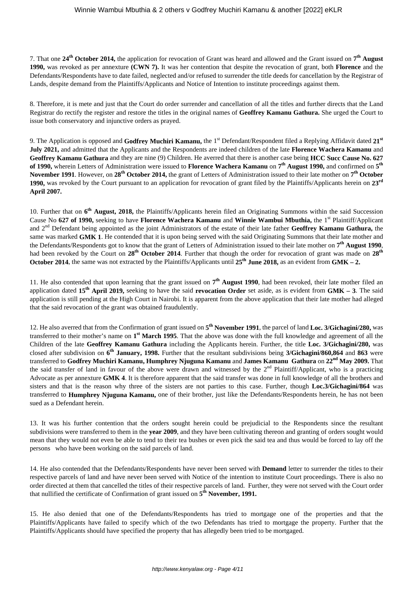7. That one **24th October 2014,** the application for revocation of Grant was heard and allowed and the Grant issued on **7 th August 1990,** was revoked as per annexture **(CWN 7).** It was her contention that despite the revocation of grant, both **Florence** and the Defendants/Respondents have to date failed, neglected and/or refused to surrender the title deeds for cancellation by the Registrar of Lands, despite demand from the Plaintiffs/Applicants and Notice of Intention to institute proceedings against them.

8. Therefore, it is mete and just that the Court do order surrender and cancellation of all the titles and further directs that the Land Registrar do rectify the register and restore the titles in the original names of **Geoffrey Kamanu Gathura.** She urged the Court to issue both conservatory and injunctive orders as prayed.

9. The Application is opposed and **Godfrey Muchiri Kamanu**, the 1<sup>st</sup> Defendant/Respondent filed a Replying Affidavit dated 21<sup>st</sup> **July 2021,** and admitted that the Applicants and the Respondents are indeed children of the late **Florence Wachera Kamanu** and **Geoffrey Kamanu Gathura** and they are nine (9) Children. He averred that there is another case being **HCC Succ Cause No. 627 of 1990,** wherein Letters of Administration were issued to **Florence Wachera Kamanu** on **7 th August 1990,** and confirmed on **5 th November 1991**. However, on **28th October 2014,** the grant of Letters of Administration issued to their late mother on **7 th October 1990,** was revoked by the Court pursuant to an application for revocation of grant filed by the Plaintiffs/Applicants herein on **23rd April 2007.**

10. Further that on **6 th August, 2018,** the Plaintiffs/Applicants herein filed an Originating Summons within the said Succession Cause No **627 of 1990,** seeking to have **Florence Wachera Kamanu** and **Winnie Wambui Mbuthia,** the 1st Plaintiff/Applicant and 2nd Defendant being appointed as the joint Administrators of the estate of their late father **Geoffrey Kamanu Gathura,** the same was marked **GMK 1**. He contended that it is upon being served with the said Originating Summons that their late mother and the Defendants/Respondents got to know that the grant of Letters of Administration issued to their late mother on **7 th August 1990**, had been revoked by the Court on **28th October 2014**. Further that though the order for revocation of grant was made on **28th October 2014**, the same was not extracted by the Plaintiffs/Applicants until **25th June 2018,** as an evident from **GMK – 2.**

11. He also contended that upon learning that the grant issued on  $7<sup>th</sup>$  August 1990, had been revoked, their late mother filed an application dated **15th April 2019,** seeking to have the said **revocation Order** set aside, as is evident from **GMK – 3**. The said application is still pending at the High Court in Nairobi. It is apparent from the above application that their late mother had alleged that the said revocation of the grant was obtained fraudulently.

12. He also averred that from the Confirmation of grant issued on **5 th November 1991**, the parcel of land **Loc. 3/Gichagini/280,** was transferred to their mother's name on **1 st March 1995**. That the above was done with the full knowledge and agreement of all the Children of the late **Geoffrey Kamanu Gathura** including the Applicants herein. Further, the title **Loc. 3/Gichagini/280,** was closed after subdivision on **6 th January, 1998.** Further that the resultant subdivisions being **3/Gichagini/860,864** and **863** were transferred to **Godfrey Muchiri Kamanu, Humphrey Njuguna Kamanu** and **James Kamanu Gathura** on **22nd May 2009.** That the said transfer of land in favour of the above were drawn and witnessed by the  $2<sup>nd</sup>$  Plaintiff/Applicant, who is a practicing Advocate as per annexture **GMK 4**. It is therefore apparent that the said transfer was done in full knowledge of all the brothers and sisters and that is the reason why three of the sisters are not parties to this case. Further, though **Loc.3/Gichagini/864** was transferred to **Humphrey Njuguna Kamanu,** one of their brother, just like the Defendants/Respondents herein, he has not been sued as a Defendant herein.

13. It was his further contention that the orders sought herein could be prejudicial to the Respondents since the resultant subdivisions were transferred to them in the **year 2009**, and they have been cultivating thereon and granting of orders sought would mean that they would not even be able to tend to their tea bushes or even pick the said tea and thus would be forced to lay off the persons who have been working on the said parcels of land.

14. He also contended that the Defendants/Respondents have never been served with **Demand** letter to surrender the titles to their respective parcels of land and have never been served with Notice of the intention to institute Court proceedings. There is also no order directed at them that cancelled the titles of their respective parcels of land. Further, they were not served with the Court order that nullified the certificate of Confirmation of grant issued on **5 th November, 1991.**

15. He also denied that one of the Defendants/Respondents has tried to mortgage one of the properties and that the Plaintiffs/Applicants have failed to specify which of the two Defendants has tried to mortgage the property. Further that the Plaintiffs/Applicants should have specified the property that has allegedly been tried to be mortgaged.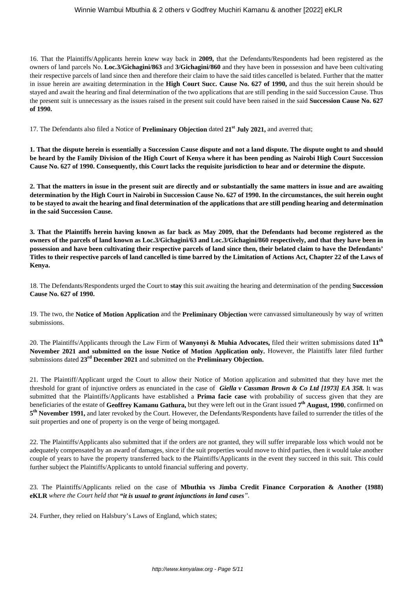16. That the Plaintiffs/Applicants herein knew way back in **2009,** that the Defendants/Respondents had been registered as the owners of land parcels No. **Loc.3/Gichagini/863** and **3/Gichagini/860** and they have been in possession and have been cultivating their respective parcels of land since then and therefore their claim to have the said titles cancelled is belated. Further that the matter in issue herein are awaiting determination in the **High Court Succ. Cause No. 627 of 1990,** and thus the suit herein should be stayed and await the hearing and final determination of the two applications that are still pending in the said Succession Cause. Thus the present suit is unnecessary as the issues raised in the present suit could have been raised in the said **Succession Cause No. 627 of 1990.**

17. The Defendants also filed a Notice of **Preliminary Objection** dated **21st July 2021,** and averred that;

**1. That the dispute herein is essentially a Succession Cause dispute and not a land dispute. The dispute ought to and should be heard by the Family Division of the High Court of Kenya where it has been pending as Nairobi High Court Succession Cause No. 627 of 1990. Consequently, this Court lacks the requisite jurisdiction to hear and or determine the dispute.**

**2. That the matters in issue in the present suit are directly and or substantially the same matters in issue and are awaiting determination by the High Court in Nairobi in Succession Cause No. 627 of 1990. In the circumstances, the suit herein ought to be stayed to await the hearing and final determination of the applications that are still pending hearing and determination in the said Succession Cause.**

**3. That the Plaintiffs herein having known as far back as May 2009, that the Defendants had become registered as the owners of the parcels of land known as Loc.3/Gichagini/63 and Loc.3/Gichagini/860 respectively, and that they have been in possession and have been cultivating their respective parcels of land since then, their belated claim to have the Defendants' Titles to their respective parcels of land cancelled is time barred by the Limitation of Actions Act, Chapter 22 of the Laws of Kenya.**

18. The Defendants/Respondents urged the Court to **stay** this suit awaiting the hearing and determination of the pending **Succession Cause No. 627 of 1990.**

19. The two, the **Notice of Motion Application** and the **Preliminary Objection** were canvassed simultaneously by way of written submissions.

20. The Plaintiffs/Applicants through the Law Firm of **Wanyonyi & Muhia Advocates,** filed their written submissions dated **11th November 2021 and submitted on the issue Notice of Motion Application only.** However, the Plaintiffs later filed further submissions dated **23rd December 2021** and submitted on the **Preliminary Objection.**

21. The Plaintiff/Applicant urged the Court to allow their Notice of Motion application and submitted that they have met the threshold for grant of injunctive orders as enunciated in the case of *Giella v Cassman Brown & Co Ltd [1973] EA 358.* It was submitted that the Plaintiffs/Applicants have established a **Prima facie case** with probability of success given that they are beneficiaries of the estate of **Geoffrey Kamanu Gathura,** but they were left out in the Grant issued **7 th August, 1990**, confirmed on 5<sup>th</sup> November 1991, and later revoked by the Court. However, the Defendants/Respondents have failed to surrender the titles of the suit properties and one of property is on the verge of being mortgaged.

22. The Plaintiffs/Applicants also submitted that if the orders are not granted, they will suffer irreparable loss which would not be adequately compensated by an award of damages, since if the suit properties would move to third parties, then it would take another couple of years to have the property transferred back to the Plaintiffs/Applicants in the event they succeed in this suit. This could further subject the Plaintiffs/Applicants to untold financial suffering and poverty.

23. The Plaintiffs/Applicants relied on the case of **Mbuthia vs Jimba Credit Finance Corporation & Another (1988) eKLR** *where the Court held that "it is usual to grant injunctions in land cases".*

24. Further, they relied on Halsbury's Laws of England, which states;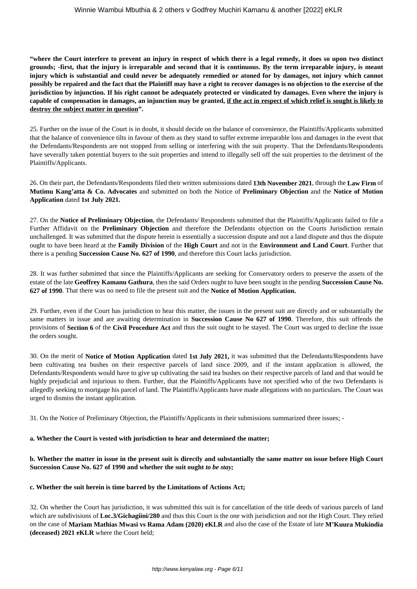**"where the Court interfere to prevent an injury in respect of which there is a legal remedy, it does so upon two distinct grounds; -first, that the injury is irreparable and second that it is continuous. By the term irreparable injury, is meant injury which is substantial and could never be adequately remedied or atoned for by damages, not injury which cannot possibly be repaired and the fact that the Plaintiff may have a right to recover damages is no objection to the exercise of the jurisdiction by injunction. If his right cannot be adequately protected or vindicated by damages. Even where the injury is capable of compensation in damages, an injunction may be granted, if the act in respect of which relief is sought is likely to destroy the subject matter in question".**

25. Further on the issue of the Court is in doubt, it should decide on the balance of convenience, the Plaintiffs/Applicants submitted that the balance of convenience tilts in favour of them as they stand to suffer extreme irreparable loss and damages in the event that the Defendants/Respondents are not stopped from selling or interfering with the suit property. That the Defendants/Respondents have severally taken potential buyers to the suit properties and intend to illegally sell off the suit properties to the detriment of the Plaintiffs/Applicants.

26. On their part, the Defendants/Respondents filed their written submissions dated **13th November 2021**, through the **Law Firm** of **Mutimu Kang'atta & Co. Advocates** and submitted on both the Notice of **Preliminary Objection** and the **Notice of Motion Application** dated **1st July 2021.**

27. On the **Notice of Preliminary Objection**, the Defendants/ Respondents submitted that the Plaintiffs/Applicants failed to file a Further Affidavit on the **Preliminary Objection** and therefore the Defendants objection on the Courts Jurisdiction remain unchallenged. It was submitted that the dispute herein is essentially a succession dispute and not a land dispute and thus the dispute ought to have been heard at the **Family Division** of the **High Court** and not in the **Environment and Land Court**. Further that there is a pending **Succession Cause No. 627 of 1990**, and therefore this Court lacks jurisdiction.

28. It was further submitted that since the Plaintiffs/Applicants are seeking for Conservatory orders to preserve the assets of the estate of the late **Geoffrey Kamanu Gathura**, then the said Orders ought to have been sought in the pending **Succession Cause No. 627 of 1990**. That there was no need to file the present suit and the **Notice of Motion Application.**

29. Further, even if the Court has jurisdiction to hear this matter, the issues in the present suit are directly and or substantially the same matters in issue and are awaiting determination in **Succession Cause No 627 of 1990**. Therefore, this suit offends the provisions of **Section 6** of the **Civil Procedure Act** and thus the suit ought to be stayed. The Court was urged to decline the issue the orders sought.

30. On the merit of **Notice of Motion Application** dated **1st July 2021,** it was submitted that the Defendants/Respondents have been cultivating tea bushes on their respective parcels of land since 2009, and if the instant application is allowed, the Defendants/Respondents would have to give up cultivating the said tea bushes on their respective parcels of land and that would be highly prejudicial and injurious to them. Further, that the Plaintiffs/Applicants have not specified who of the two Defendants is allegedly seeking to mortgage his parcel of land. The Plaintiffs/Applicants have made allegations with no particulars. The Court was urged to dismiss the instant application.

31. On the Notice of Preliminary Objection, the Plaintiffs/Applicants in their submissions summarized three issues; -

#### **a. Whether the Court is vested with jurisdiction to hear and determined the matter;**

**b. Whether the matter in issue in the present suit is directly and substantially the same matter on issue before High Court Succession Cause No. 627 of 1990 and whether the suit ought** *to be stay;*

#### **c. Whether the suit herein is time barred by the Limitations of Actions Act;**

32. On whether the Court has jurisdiction, it was submitted this suit is for cancellation of the title deeds of various parcels of land which are subdivisions of **Loc.3/Gichagiini/280** and thus this Court is the one with jurisdiction and not the High Court. They relied on the case of **Mariam Mathias Mwasi vs Rama Adam (2020) eKLR** and also the case of the Estate of late **M'Kuura Mukindia (deceased) 2021 eKLR** where the Court held;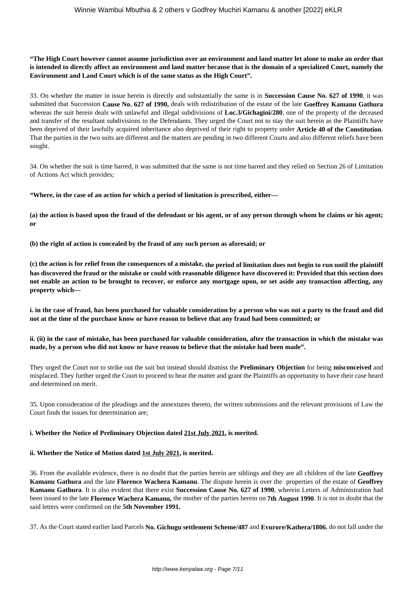## **"The High Court however cannot assume jurisdiction over an environment and land matter let alone to make an order that is intended to directly affect an environment and land matter because that is the domain of a specialized Court, namely the Environment and Land Court which is of the same status as the High Court".**

33. On whether the matter in issue herein is directly and substantially the same is in **Succession Cause No. 627 of 1990**, it was submitted that Succession **Cause No. 627 of 1990,** deals with redistribution of the estate of the late **Goeffrey Kamanu Gathura** whereas the suit herein deals with unlawful and illegal subdivisions of **Loc.3/Gichagini/280**, one of the property of the deceased and transfer of the resultant subdivisions to the Defendants. They urged the Court not to stay the suit herein as the Plaintiffs have been deprived of their lawfully acquired inheritance also deprived of their right to property under **Article 40 of the Constitution**. That the parties in the two suits are different and the matters are pending in two different Courts and also different reliefs have been sought.

34. On whether the suit is time barred, it was submitted that the same is not time barred and they relied on Section 26 of Limitation of Actions Act which provides;

*"***Where, in the case of an action for which a period of limitation is prescribed, either—** 

**(a) the action is based upon the fraud of the defendant or his agent, or of any person through whom he claims or his agent; or** 

**(b) the right of action is concealed by the fraud of any such person as aforesaid; or** 

**(c) the action is for relief from the consequences of a mistake, the period of limitation does not begin to run until the plaintiff has discovered the fraud or the mistake or could with reasonable diligence have discovered it: Provided that this section does not enable an action to be brought to recover, or enforce any mortgage upon, or set aside any transaction affecting, any property which—** 

**i. in the case of fraud, has been purchased for valuable consideration by a person who was not a party to the fraud and did not at the time of the purchase know or have reason to believe that any fraud had been committed; or** 

**ii. (ii) in the case of mistake, has been purchased for valuable consideration, after the transaction in which the mistake was made, by a person who did not know or have reason to believe that the mistake had been made".**

They urged the Court not to strike out the suit but instead should dismiss the **Preliminary Objection** for being **misconceived** and misplaced. They further urged the Court to proceed to hear the matter and grant the Plaintiffs an opportunity to have their case heard and determined on merit.

35. Upon consideration of the pleadings and the annextures thereto, the written submissions and the relevant provisions of Law the Court finds the issues for determination are;

#### **i. Whether the Notice of Preliminary Objection dated 21st July 2021, is merited.**

#### **ii. Whether the Notice of Motion dated 1st July 2021, is merited.**

36. From the available evidence, there is no doubt that the parties herein are siblings and they are all children of the late **Geoffrey Kamanu Gathura** and the late **Florence Wachera Kamanu**. The dispute herein is over the properties of the estate of **Geoffrey Kamanu Gathura**. It is also evident that there exist **Succession Cause No. 627 of 1990**, wherein Letters of Administration had been issued to the late **Florence Wachera Kamanu,** the mother of the parties herein on **7th August 1990**. It is not in doubt that the said letters were confirmed on the **5th November 1991.**

37. As the Court stated earlier land Parcels **No. Gichugu settlement Scheme/487** and **Evurore/Kathera/1806**, do not fall under the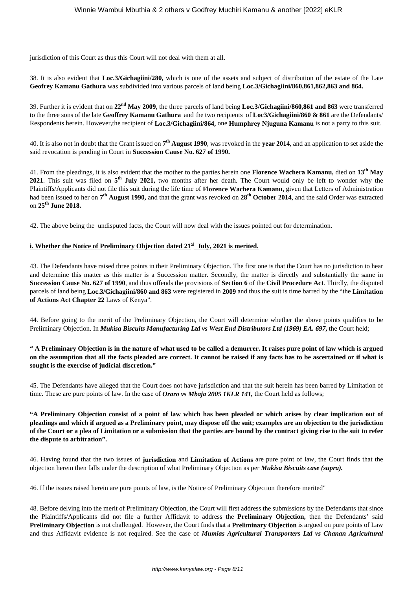jurisdiction of this Court as thus this Court will not deal with them at all.

38. It is also evident that **Loc.3/Gichagiini/280,** which is one of the assets and subject of distribution of the estate of the Late **Geofrey Kamanu Gathura** was subdivided into various parcels of land being **Loc.3/Gichagiini/860,861,862,863 and 864.**

39. Further it is evident that on **22nd May 2009**, the three parcels of land being **Loc.3/Gichagiini/860,861 and 863** were transferred to the three sons of the late **Geoffrey Kamanu Gathura** and the two recipients of **Loc3/Gichagiini/860 & 861** are the Defendants/ Respondents herein. However,the recipient of **Loc.3/Gichagiini/864,** one **Humphrey Njuguna Kamanu** is not a party to this suit.

40. It is also not in doubt that the Grant issued on **7 th August 1990**, was revoked in the **year 2014**, and an application to set aside the said revocation is pending in Court in **Succession Cause No. 627 of 1990.**

41. From the pleadings, it is also evident that the mother to the parties herein one **Florence Wachera Kamanu,** died on **13th May 2021**. This suit was filed on **5 th July 2021,** two months after her death. The Court would only be left to wonder why the Plaintiffs/Applicants did not file this suit during the life time of **Florence Wachera Kamanu,** given that Letters of Administration had been issued to her on **7 th August 1990,** and that the grant was revoked on **28th October 2014**, and the said Order was extracted on **25th June 2018.**

42. The above being the undisputed facts, the Court will now deal with the issues pointed out for determination.

#### **i. Whether the Notice of Preliminary Objection dated 21st July, 2021 is merited.**

43. The Defendants have raised three points in their Preliminary Objection. The first one is that the Court has no jurisdiction to hear and determine this matter as this matter is a Succession matter. Secondly, the matter is directly and substantially the same in **Succession Cause No. 627 of 1990**, and thus offends the provisions of **Section 6** of the **Civil Procedure Act**. Thirdly, the disputed parcels of land being **Loc.3/Gichagiini/860 and 863** were registered in **2009** and thus the suit is time barred by the "the **Limitation of Actions Act Chapter 22** Laws of Kenya".

44. Before going to the merit of the Preliminary Objection, the Court will determine whether the above points qualifies to be Preliminary Objection. In *Mukisa Biscuits Manufacturing Ltd vs West End Distributors Ltd (1969) EA. 697***,** the Court held;

**" A Preliminary Objection is in the nature of what used to be called a demurrer. It raises pure point of law which is argued on the assumption that all the facts pleaded are correct. It cannot be raised if any facts has to be ascertained or if what is sought is the exercise of judicial discretion."**

45. The Defendants have alleged that the Court does not have jurisdiction and that the suit herein has been barred by Limitation of time. These are pure points of law. In the case of *Oraro vs Mbaja 2005 1KLR 141,* the Court held as follows;

**"A Preliminary Objection consist of a point of law which has been pleaded or which arises by clear implication out of pleadings and which if argued as a Preliminary point, may dispose off the suit; examples are an objection to the jurisdiction of the Court or a plea of Limitation or a submission that the parties are bound by the contract giving rise to the suit to refer the dispute to arbitration".** 

46. Having found that the two issues of **jurisdiction** and **Limitation of Actions** are pure point of law, the Court finds that the objection herein then falls under the description of what Preliminary Objection as per *Mukisa Biscuits case (supra).*

46. If the issues raised herein are pure points of law, is the Notice of Preliminary Objection therefore merited"

48. Before delving into the merit of Preliminary Objection, the Court will first address the submissions by the Defendants that since the Plaintiffs/Applicants did not file a further Affidavit to address the **Preliminary Objection,** then the Defendants' said **Preliminary Objection** is not challenged. However, the Court finds that a **Preliminary Objection** is argued on pure points of Law and thus Affidavit evidence is not required. See the case of *Mumias Agricultural Transporters Ltd vs Chanan Agricultural*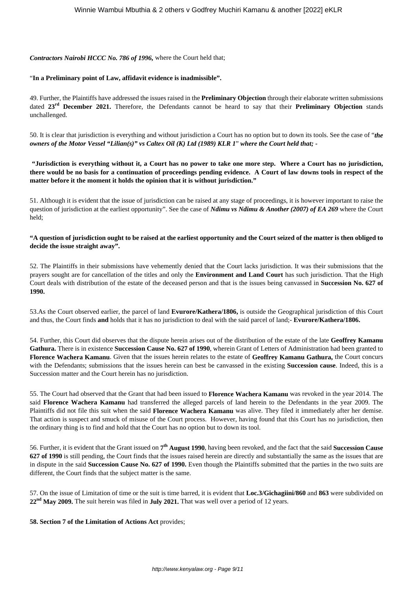### *Contractors Nairobi HCCC No. 786 of 1996,* where the Court held that;

## "**In a Preliminary point of Law, affidavit evidence is inadmissible".**

49. Further, the Plaintiffs have addressed the issues raised in the **Preliminary Objection** through their elaborate written submissions dated **23rd December 2021.** Therefore, the Defendants cannot be heard to say that their **Preliminary Objection** stands unchallenged.

50. It is clear that jurisdiction is everything and without jurisdiction a Court has no option but to down its tools. See the case of "*the owners of the Motor Vessel "Lilian(s)" vs Caltex Oil (K) Ltd (1989) KLR 1*" *where the Court held that; -*

**"Jurisdiction is everything without it, a Court has no power to take one more step. Where a Court has no jurisdiction, there would be no basis for a continuation of proceedings pending evidence. A Court of law downs tools in respect of the matter before it the moment it holds the opinion that it is without jurisdiction."**

51. Although it is evident that the issue of jurisdiction can be raised at any stage of proceedings, it is however important to raise the question of jurisdiction at the earliest opportunity". See the case of *Ndimu vs Ndimu & Another (2007) of EA 269* where the Court held;

**"A question of jurisdiction ought to be raised at the earliest opportunity and the Court seized of the matter is then obliged to decide the issue straight away".**

52. The Plaintiffs in their submissions have vehemently denied that the Court lacks jurisdiction. It was their submissions that the prayers sought are for cancellation of the titles and only the **Environment and Land Court** has such jurisdiction. That the High Court deals with distribution of the estate of the deceased person and that is the issues being canvassed in **Succession No. 627 of 1990.**

53.As the Court observed earlier, the parcel of land **Evurore/Kathera/1806,** is outside the Geographical jurisdiction of this Court and thus, the Court finds **and** holds that it has no jurisdiction to deal with the said parcel of land;- **Evurore/Kathera/1806.**

54. Further, this Court did observes that the dispute herein arises out of the distribution of the estate of the late **Geoffrey Kamanu Gathura.** There is in existence **Succession Cause No. 627 of 1990**, wherein Grant of Letters of Administration had been granted to **Florence Wachera Kamanu**. Given that the issues herein relates to the estate of **Geoffrey Kamanu Gathura,** the Court concurs with the Defendants; submissions that the issues herein can best be canvassed in the existing **Succession cause**. Indeed, this is a Succession matter and the Court herein has no jurisdiction.

55. The Court had observed that the Grant that had been issued to **Florence Wachera Kamanu** was revoked in the year 2014. The said **Florence Wachera Kamanu** had transferred the alleged parcels of land herein to the Defendants in the year 2009. The Plaintiffs did not file this suit when the said **Florence Wachera Kamanu** was alive. They filed it immediately after her demise. That action is suspect and smuck of misuse of the Court process. However, having found that this Court has no jurisdiction, then the ordinary thing is to find and hold that the Court has no option but to down its tool.

56. Further, it is evident that the Grant issued on **7 th August 1990**, having been revoked, and the fact that the said **Succession Cause 627 of 1990** is still pending, the Court finds that the issues raised herein are directly and substantially the same as the issues that are in dispute in the said **Succession Cause No. 627 of 1990.** Even though the Plaintiffs submitted that the parties in the two suits are different, the Court finds that the subject matter is the same.

57. On the issue of Limitation of time or the suit is time barred, it is evident that **Loc.3/Gichagiini/860** and **863** were subdivided on **22nd May 2009.** The suit herein was filed in **July 2021.** That was well over a period of 12 years.

## **58. Section 7 of the Limitation of Actions Act** provides;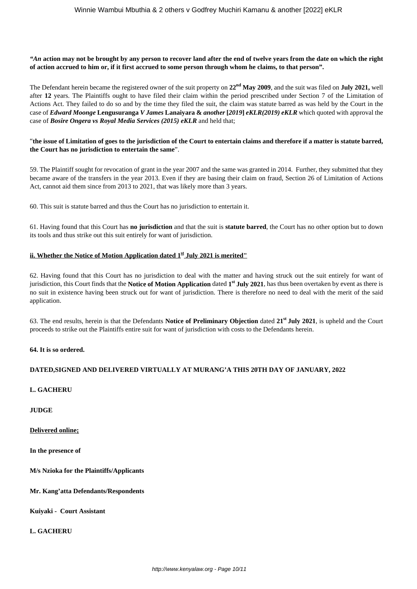*"An* **action may not be brought by any person to recover land after the end of twelve years from the date on which the right of action accrued to him or, if it first accrued to some person through whom he claims, to that person".**

The Defendant herein became the registered owner of the suit property on **22nd May 2009**, and the suit was filed on **July 2021,** well after **12** years. The Plaintiffs ought to have filed their claim within the period prescribed under Section 7 of the Limitation of Actions Act. They failed to do so and by the time they filed the suit, the claim was statute barred as was held by the Court in the case of *Edward Moonge* **Lengusuranga** *V James* **Lanaiyara &** *another* **[***2019***]** *eKLR(2019) eKLR* which quoted with approval the case of *Bosire Ongera vs Royal Media Services (2015) eKLR* and held that;

#### "**the issue of Limitation of goes to the jurisdiction of the Court to entertain claims and therefore if a matter is statute barred, the Court has no jurisdiction to entertain the same**".

59. The Plaintiff sought for revocation of grant in the year 2007 and the same was granted in 2014. Further, they submitted that they became aware of the transfers in the year 2013. Even if they are basing their claim on fraud, Section 26 of Limitation of Actions Act, cannot aid them since from 2013 to 2021, that was likely more than 3 years.

60. This suit is statute barred and thus the Court has no jurisdiction to entertain it.

61. Having found that this Court has **no jurisdiction** and that the suit is **statute barred**, the Court has no other option but to down its tools and thus strike out this suit entirely for want of jurisdiction.

### **ii. Whether the Notice of Motion Application dated 1st July 2021 is merited"**

62. Having found that this Court has no jurisdiction to deal with the matter and having struck out the suit entirely for want of jurisdiction, this Court finds that the **Notice of Motion Application** dated **1 st July 2021**, has thus been overtaken by event as there is no suit in existence having been struck out for want of jurisdiction. There is therefore no need to deal with the merit of the said application.

63. The end results, herein is that the Defendants **Notice of Preliminary Objection** dated **21st July 2021**, is upheld and the Court proceeds to strike out the Plaintiffs entire suit for want of jurisdiction with costs to the Defendants herein.

#### **64. It is so ordered.**

#### **DATED,SIGNED AND DELIVERED VIRTUALLY AT MURANG'A THIS 20TH DAY OF JANUARY, 2022**

**L. GACHERU**

**JUDGE**

**Delivered online;**

**In the presence of**

**M/s Nzioka for the Plaintiffs/Applicants**

**Mr. Kang'atta Defendants/Respondents**

**Kuiyaki - Court Assistant**

**L. GACHERU**